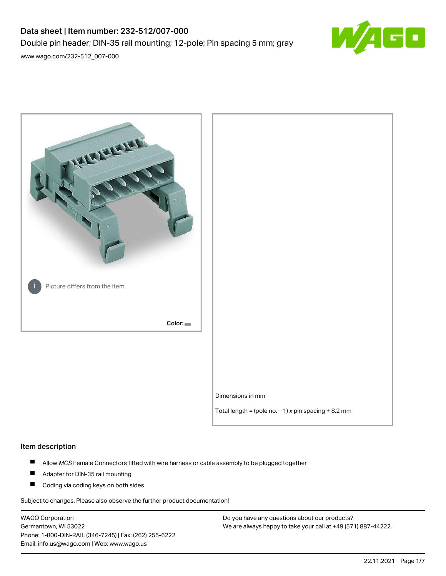# Data sheet | Item number: 232-512/007-000 Double pin header; DIN-35 rail mounting; 12-pole; Pin spacing 5 mm; gray



[www.wago.com/232-512\\_007-000](http://www.wago.com/232-512_007-000)



## Item description

- $\blacksquare$ Allow MCS Female Connectors fitted with wire harness or cable assembly to be plugged together
- $\blacksquare$ Adapter for DIN-35 rail mounting
- $\blacksquare$ Coding via coding keys on both sides

Subject to changes. Please also observe the further product documentation!

WAGO Corporation Germantown, WI 53022 Phone: 1-800-DIN-RAIL (346-7245) | Fax: (262) 255-6222 Email: info.us@wago.com | Web: www.wago.us

Do you have any questions about our products? We are always happy to take your call at +49 (571) 887-44222.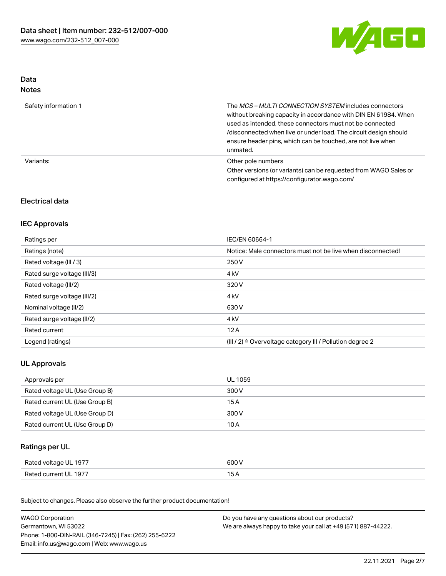

### Data Notes

| Safety information 1 | The <i>MCS – MULTI CONNECTION SYSTEM</i> includes connectors<br>without breaking capacity in accordance with DIN EN 61984. When<br>used as intended, these connectors must not be connected<br>/disconnected when live or under load. The circuit design should<br>ensure header pins, which can be touched, are not live when<br>unmated. |
|----------------------|--------------------------------------------------------------------------------------------------------------------------------------------------------------------------------------------------------------------------------------------------------------------------------------------------------------------------------------------|
| Variants:            | Other pole numbers<br>Other versions (or variants) can be requested from WAGO Sales or<br>configured at https://configurator.wago.com/                                                                                                                                                                                                     |

## Electrical data

## IEC Approvals

| Ratings per                 | IEC/EN 60664-1                                                        |
|-----------------------------|-----------------------------------------------------------------------|
| Ratings (note)              | Notice: Male connectors must not be live when disconnected!           |
| Rated voltage (III / 3)     | 250 V                                                                 |
| Rated surge voltage (III/3) | 4 <sub>k</sub> V                                                      |
| Rated voltage (III/2)       | 320 V                                                                 |
| Rated surge voltage (III/2) | 4 <sub>k</sub> V                                                      |
| Nominal voltage (II/2)      | 630 V                                                                 |
| Rated surge voltage (II/2)  | 4 <sub>k</sub> V                                                      |
| Rated current               | 12A                                                                   |
| Legend (ratings)            | $(III / 2)$ $\triangle$ Overvoltage category III / Pollution degree 2 |

# UL Approvals

| Approvals per                  | UL 1059 |
|--------------------------------|---------|
| Rated voltage UL (Use Group B) | 300 V   |
| Rated current UL (Use Group B) | 15 A    |
| Rated voltage UL (Use Group D) | 300 V   |
| Rated current UL (Use Group D) | 10 A    |

## Ratings per UL

| Rated voltage UL 1977 | 600 V |
|-----------------------|-------|
| Rated current UL 1977 |       |

Subject to changes. Please also observe the further product documentation!

| <b>WAGO Corporation</b>                                | Do you have any questions about our products?                 |
|--------------------------------------------------------|---------------------------------------------------------------|
| Germantown, WI 53022                                   | We are always happy to take your call at +49 (571) 887-44222. |
| Phone: 1-800-DIN-RAIL (346-7245)   Fax: (262) 255-6222 |                                                               |
| Email: info.us@wago.com   Web: www.wago.us             |                                                               |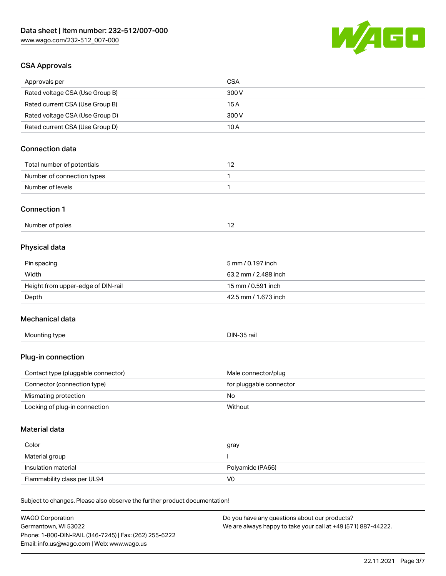

## CSA Approvals

| <b>WAGO Corporation</b>                                                    | Do you have any questions about our products? |
|----------------------------------------------------------------------------|-----------------------------------------------|
| Subject to changes. Please also observe the further product documentation! |                                               |
|                                                                            | V <sub>0</sub>                                |
| Insulation material<br>Flammability class per UL94                         | Polyamide (PA66)                              |
| Material group                                                             | <sup>1</sup>                                  |
| Color                                                                      | gray                                          |
| <b>Material data</b>                                                       |                                               |
| Locking of plug-in connection                                              | Without                                       |
| Mismating protection                                                       | No                                            |
| Connector (connection type)                                                | for pluggable connector                       |
| Contact type (pluggable connector)                                         | Male connector/plug                           |
| Plug-in connection                                                         |                                               |
| Mounting type                                                              | DIN-35 rail                                   |
| Mechanical data                                                            |                                               |
| Depth                                                                      | 42.5 mm / 1.673 inch                          |
| Height from upper-edge of DIN-rail                                         | 15 mm / 0.591 inch                            |
| Width                                                                      | 63.2 mm / 2.488 inch                          |
| Pin spacing                                                                | 5 mm / 0.197 inch                             |
| Physical data                                                              |                                               |
| Number of poles                                                            | 12                                            |
| <b>Connection 1</b>                                                        |                                               |
| Number of levels                                                           | 1                                             |
| Number of connection types                                                 | 1                                             |
| Total number of potentials                                                 | 12                                            |
| <b>Connection data</b>                                                     |                                               |
| Rated current CSA (Use Group D)                                            | 10A                                           |
| Rated voltage CSA (Use Group D)                                            | 300 V                                         |
| Rated current CSA (Use Group B)                                            | 15A                                           |
| Rated voltage CSA (Use Group B)                                            | 300V                                          |
| Approvals per                                                              | <b>CSA</b>                                    |

Germantown, WI 53022 Phone: 1-800-DIN-RAIL (346-7245) | Fax: (262) 255-6222 Email: info.us@wago.com | Web: www.wago.us

We are always happy to take your call at +49 (571) 887-44222.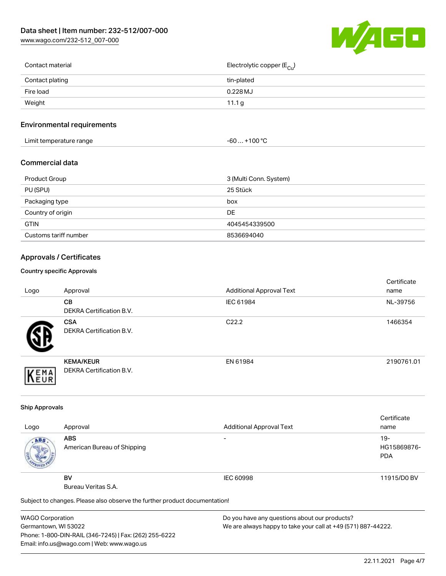[www.wago.com/232-512\\_007-000](http://www.wago.com/232-512_007-000)

![](_page_3_Picture_2.jpeg)

| Contact material | Electrolytic copper (E <sub>Cu</sub> ) |
|------------------|----------------------------------------|
| Contact plating  | tin-plated                             |
| Fire load        | 0.228 MJ                               |
| Weight           | 11.1 $g$                               |
|                  |                                        |

## Environmental requirements

| Limit temperature range | ⊥+100 °ົ<br>-60 |
|-------------------------|-----------------|
|-------------------------|-----------------|

#### Commercial data

| Product Group         | 3 (Multi Conn. System) |
|-----------------------|------------------------|
| PU (SPU)              | 25 Stück               |
| Packaging type        | box                    |
| Country of origin     | DE                     |
| <b>GTIN</b>           | 4045454339500          |
| Customs tariff number | 8536694040             |

## Approvals / Certificates

#### Country specific Approvals

| Logo | Approval                                            | <b>Additional Approval Text</b> | Certificate<br>name |
|------|-----------------------------------------------------|---------------------------------|---------------------|
|      | CВ<br><b>DEKRA Certification B.V.</b>               | IEC 61984                       | NL-39756            |
|      | <b>CSA</b><br>DEKRA Certification B.V.              | C <sub>22.2</sub>               | 1466354             |
| EMA  | <b>KEMA/KEUR</b><br><b>DEKRA Certification B.V.</b> | EN 61984                        | 2190761.01          |

#### Ship Approvals

|      |                                                                            |                                 | Certificate |
|------|----------------------------------------------------------------------------|---------------------------------|-------------|
| Logo | Approval                                                                   | <b>Additional Approval Text</b> | name        |
| ABS. | <b>ABS</b>                                                                 | -                               | $19-$       |
|      | American Bureau of Shipping                                                |                                 | HG15869876- |
|      |                                                                            |                                 | <b>PDA</b>  |
|      |                                                                            |                                 |             |
|      | <b>BV</b>                                                                  | IEC 60998                       | 11915/D0 BV |
|      | Bureau Veritas S.A.                                                        |                                 |             |
|      | Subject to changes. Please also observe the further product documentation! |                                 |             |

WAGO Corporation Germantown, WI 53022 Phone: 1-800-DIN-RAIL (346-7245) | Fax: (262) 255-6222 Email: info.us@wago.com | Web: www.wago.us

Do you have any questions about our products? We are always happy to take your call at +49 (571) 887-44222.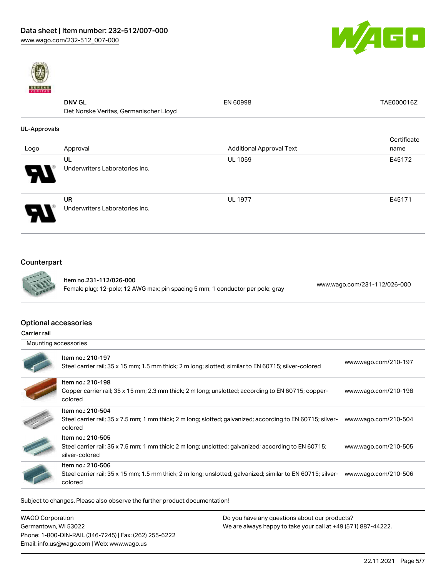![](_page_4_Picture_1.jpeg)

![](_page_4_Picture_2.jpeg)

## DNV GL Det Norske Veritas, Germanischer Lloyd EN 60998 TAE000016Z UL-Approvals Logo Approval Approval Approval Additional Approval Text Additional Approval Text Certificate name UL Underwriters Laboratories Inc. UL 1059 E45172 UR Underwriters Laboratories Inc. UL 1977 **E45171**

# Counterpart

![](_page_4_Picture_5.jpeg)

Item no.231-112/026-000 Female plug; 12-pole; 12 AWG max; pin spacing 5 mm; 1 conductor per pole; gray [www.wago.com/231-112/026-000](https://www.wago.com/231-112/026-000)

#### Optional accessories

Carrier rail

| Mounting accessories |  |
|----------------------|--|
|----------------------|--|

| Item no.: 210-198<br>Copper carrier rail; 35 x 15 mm; 2.3 mm thick; 2 m long; unslotted; according to EN 60715; copper-<br>www.wago.com/210-198<br>colored<br>Item no.: 210-504<br>Steel carrier rail; 35 x 7.5 mm; 1 mm thick; 2 m long; slotted; galvanized; according to EN 60715; silver-<br>www.wago.com/210-504<br>colored<br>Item no.: 210-505<br>Steel carrier rail; 35 x 7.5 mm; 1 mm thick; 2 m long; unslotted; galvanized; according to EN 60715;<br>www.wago.com/210-505<br>silver-colored<br>Item no.: 210-506<br>Steel carrier rail; 35 x 15 mm; 1.5 mm thick; 2 m long; unslotted; galvanized; similar to EN 60715; silver-<br>www.wago.com/210-506<br>colored | Item no.: 210-197<br>Steel carrier rail; 35 x 15 mm; 1.5 mm thick; 2 m long; slotted; similar to EN 60715; silver-colored | www.wago.com/210-197 |
|--------------------------------------------------------------------------------------------------------------------------------------------------------------------------------------------------------------------------------------------------------------------------------------------------------------------------------------------------------------------------------------------------------------------------------------------------------------------------------------------------------------------------------------------------------------------------------------------------------------------------------------------------------------------------------|---------------------------------------------------------------------------------------------------------------------------|----------------------|
|                                                                                                                                                                                                                                                                                                                                                                                                                                                                                                                                                                                                                                                                                |                                                                                                                           |                      |
|                                                                                                                                                                                                                                                                                                                                                                                                                                                                                                                                                                                                                                                                                |                                                                                                                           |                      |
|                                                                                                                                                                                                                                                                                                                                                                                                                                                                                                                                                                                                                                                                                |                                                                                                                           |                      |
|                                                                                                                                                                                                                                                                                                                                                                                                                                                                                                                                                                                                                                                                                |                                                                                                                           |                      |

Subject to changes. Please also observe the further product documentation!

| <b>WAGO Corporation</b>                                | Do you have any questions about our products?                 |
|--------------------------------------------------------|---------------------------------------------------------------|
| Germantown, WI 53022                                   | We are always happy to take your call at +49 (571) 887-44222. |
| Phone: 1-800-DIN-RAIL (346-7245)   Fax: (262) 255-6222 |                                                               |
| Email: info.us@wago.com   Web: www.wago.us             |                                                               |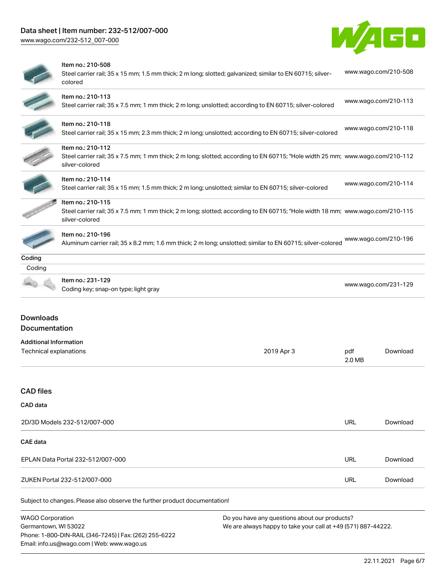# Data sheet | Item number: 232-512/007-000

Phone: 1-800-DIN-RAIL (346-7245) | Fax: (262) 255-6222

Email: info.us@wago.com | Web: www.wago.us

[www.wago.com/232-512\\_007-000](http://www.wago.com/232-512_007-000)

![](_page_5_Picture_2.jpeg)

|                                                         | Item no.: 210-508<br>Steel carrier rail; 35 x 15 mm; 1.5 mm thick; 2 m long; slotted; galvanized; similar to EN 60715; silver-<br>colored                             |                                                                                                                |               | www.wago.com/210-508 |
|---------------------------------------------------------|-----------------------------------------------------------------------------------------------------------------------------------------------------------------------|----------------------------------------------------------------------------------------------------------------|---------------|----------------------|
|                                                         | Item no.: 210-113<br>Steel carrier rail; 35 x 7.5 mm; 1 mm thick; 2 m long; unslotted; according to EN 60715; silver-colored                                          |                                                                                                                |               | www.wago.com/210-113 |
|                                                         | Item no.: 210-118<br>Steel carrier rail; 35 x 15 mm; 2.3 mm thick; 2 m long; unslotted; according to EN 60715; silver-colored                                         |                                                                                                                |               | www.wago.com/210-118 |
|                                                         | Item no.: 210-112<br>Steel carrier rail; 35 x 7.5 mm; 1 mm thick; 2 m long; slotted; according to EN 60715; "Hole width 25 mm; www.wago.com/210-112<br>silver-colored |                                                                                                                |               |                      |
|                                                         | Item no.: 210-114<br>Steel carrier rail; 35 x 15 mm; 1.5 mm thick; 2 m long; unslotted; similar to EN 60715; silver-colored                                           |                                                                                                                |               | www.wago.com/210-114 |
|                                                         | Item no.: 210-115<br>Steel carrier rail; 35 x 7.5 mm; 1 mm thick; 2 m long; slotted; according to EN 60715; "Hole width 18 mm; www.wago.com/210-115<br>silver-colored |                                                                                                                |               |                      |
|                                                         | Item no.: 210-196<br>Aluminum carrier rail; 35 x 8.2 mm; 1.6 mm thick; 2 m long; unslotted; similar to EN 60715; silver-colored                                       |                                                                                                                |               | www.wago.com/210-196 |
| Coding                                                  |                                                                                                                                                                       |                                                                                                                |               |                      |
| Coding                                                  | Item no.: 231-129<br>Coding key; snap-on type; light gray                                                                                                             |                                                                                                                |               | www.wago.com/231-129 |
| <b>Downloads</b><br>Documentation                       |                                                                                                                                                                       |                                                                                                                |               |                      |
| <b>Additional Information</b><br>Technical explanations |                                                                                                                                                                       | 2019 Apr 3                                                                                                     | pdf<br>2.0 MB | Download             |
| <b>CAD files</b>                                        |                                                                                                                                                                       |                                                                                                                |               |                      |
| CAD data                                                |                                                                                                                                                                       |                                                                                                                |               |                      |
|                                                         | 2D/3D Models 232-512/007-000                                                                                                                                          |                                                                                                                | <b>URL</b>    | Download             |
| <b>CAE</b> data                                         |                                                                                                                                                                       |                                                                                                                |               |                      |
|                                                         | EPLAN Data Portal 232-512/007-000                                                                                                                                     |                                                                                                                | <b>URL</b>    | Download             |
|                                                         | ZUKEN Portal 232-512/007-000                                                                                                                                          |                                                                                                                | <b>URL</b>    | Download             |
|                                                         | Subject to changes. Please also observe the further product documentation!                                                                                            |                                                                                                                |               |                      |
| <b>WAGO Corporation</b><br>Germantown, WI 53022         |                                                                                                                                                                       | Do you have any questions about our products?<br>We are always happy to take your call at +49 (571) 887-44222. |               |                      |